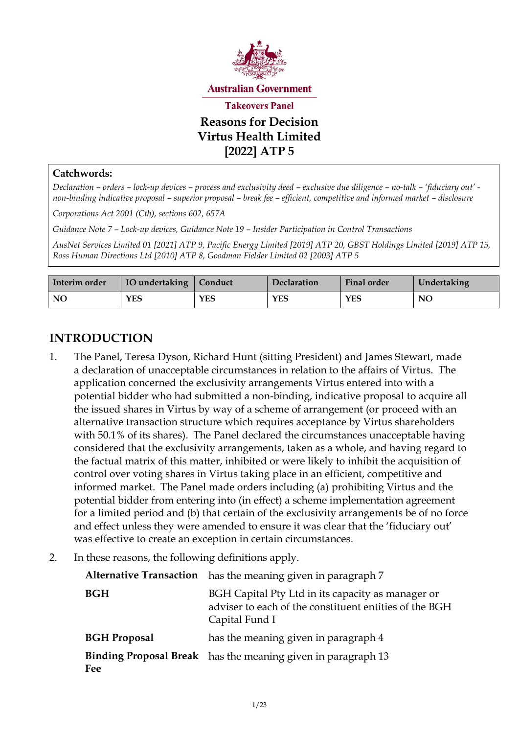

#### **Catchwords:**

*Declaration – orders – lock-up devices – process and exclusivity deed – exclusive due diligence – no-talk – 'fiduciary out' non-binding indicative proposal – superior proposal – break fee – efficient, competitive and informed market – disclosure*

*Corporations Act 2001 (Cth), sections 602, 657A*

*Guidance Note 7 – Lock-up devices, Guidance Note 19 – Insider Participation in Control Transactions*

*AusNet Services Limited 01 [2021] ATP 9[, Pacific Energy Limited \[2019\] ATP 20,](https://www.takeovers.gov.au/content/DisplayDoc.aspx?doc=reasons_for_decisions/2019/020.htm&pageID=&Year=https://www.takeovers.gov.au/content/DisplayDoc.aspx?doc=reasons_for_decisions/2019/020.htm&pageID=&Year=) GBST Holdings Limited [2019] ATP 15, Ross Human Directions Ltd [2010] ATP 8, Goodman Fielder Limited 02 [2003] ATP 5*

| Interim order | IO undertaking   Conduct |            | Declaration | <b>Final order</b> | Undertaking |
|---------------|--------------------------|------------|-------------|--------------------|-------------|
| NO            | YES                      | <b>YES</b> | YES         | YES                | NO          |

# **INTRODUCTION**

- 1. The Panel, Teresa Dyson, Richard Hunt (sitting President) and James Stewart, made a declaration of unacceptable circumstances in relation to the affairs of Virtus. The application concerned the exclusivity arrangements Virtus entered into with a potential bidder who had submitted a non-binding, indicative proposal to acquire all the issued shares in Virtus by way of a scheme of arrangement (or proceed with an alternative transaction structure which requires acceptance by Virtus shareholders with 50.1% of its shares). The Panel declared the circumstances unacceptable having considered that the exclusivity arrangements, taken as a whole, and having regard to the factual matrix of this matter, inhibited or were likely to inhibit the acquisition of control over voting shares in Virtus taking place in an efficient, competitive and informed market. The Panel made orders including (a) prohibiting Virtus and the potential bidder from entering into (in effect) a scheme implementation agreement for a limited period and (b) that certain of the exclusivity arrangements be of no force and effect unless they were amended to ensure it was clear that the 'fiduciary out' was effective to create an exception in certain circumstances.
- 2. In these reasons, the following definitions apply.

| <b>Alternative Transaction</b> has the meaning given in paragraph 7                                                           |  |
|-------------------------------------------------------------------------------------------------------------------------------|--|
| BGH Capital Pty Ltd in its capacity as manager or<br>adviser to each of the constituent entities of the BGH<br>Capital Fund I |  |
| has the meaning given in paragraph 4                                                                                          |  |
| <b>Binding Proposal Break</b> has the meaning given in paragraph 13                                                           |  |
|                                                                                                                               |  |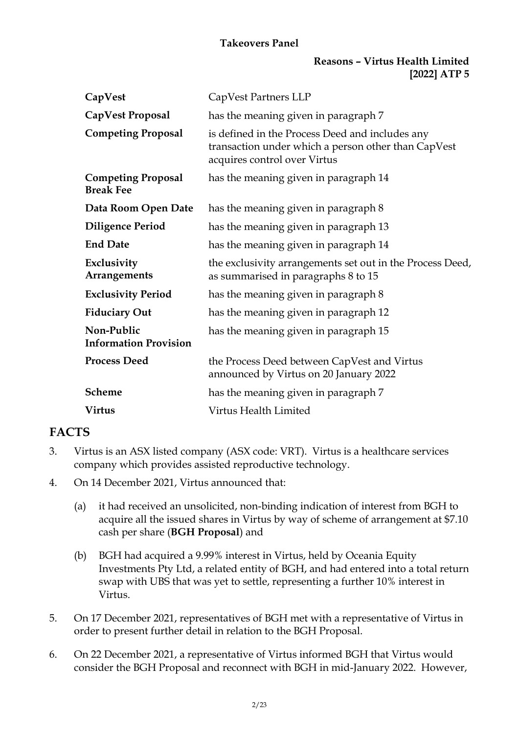### **Reasons – Virtus Health Limited [2022] ATP 5**

| CapVest                                       | CapVest Partners LLP                                                                                                                   |
|-----------------------------------------------|----------------------------------------------------------------------------------------------------------------------------------------|
| CapVest Proposal                              | has the meaning given in paragraph 7                                                                                                   |
| <b>Competing Proposal</b>                     | is defined in the Process Deed and includes any<br>transaction under which a person other than CapVest<br>acquires control over Virtus |
| <b>Competing Proposal</b><br><b>Break Fee</b> | has the meaning given in paragraph 14                                                                                                  |
| Data Room Open Date                           | has the meaning given in paragraph 8                                                                                                   |
| <b>Diligence Period</b>                       | has the meaning given in paragraph 13                                                                                                  |
| <b>End Date</b>                               | has the meaning given in paragraph 14                                                                                                  |
| Exclusivity<br>Arrangements                   | the exclusivity arrangements set out in the Process Deed,<br>as summarised in paragraphs 8 to 15                                       |
| <b>Exclusivity Period</b>                     | has the meaning given in paragraph 8                                                                                                   |
| <b>Fiduciary Out</b>                          | has the meaning given in paragraph 12                                                                                                  |
| Non-Public<br><b>Information Provision</b>    | has the meaning given in paragraph 15                                                                                                  |
| <b>Process Deed</b>                           | the Process Deed between CapVest and Virtus<br>announced by Virtus on 20 January 2022                                                  |
| <b>Scheme</b>                                 | has the meaning given in paragraph 7                                                                                                   |
| <b>Virtus</b>                                 | Virtus Health Limited                                                                                                                  |

# **FACTS**

- 3. Virtus is an ASX listed company (ASX code: VRT). Virtus is a healthcare services company which provides assisted reproductive technology.
- 4. On 14 December 2021, Virtus announced that:
	- (a) it had received an unsolicited, non-binding indication of interest from BGH to acquire all the issued shares in Virtus by way of scheme of arrangement at \$7.10 cash per share (**BGH Proposal**) and
	- (b) BGH had acquired a 9.99% interest in Virtus, held by Oceania Equity Investments Pty Ltd, a related entity of BGH, and had entered into a total return swap with UBS that was yet to settle, representing a further 10% interest in Virtus.
- 5. On 17 December 2021, representatives of BGH met with a representative of Virtus in order to present further detail in relation to the BGH Proposal.
- 6. On 22 December 2021, a representative of Virtus informed BGH that Virtus would consider the BGH Proposal and reconnect with BGH in mid-January 2022. However,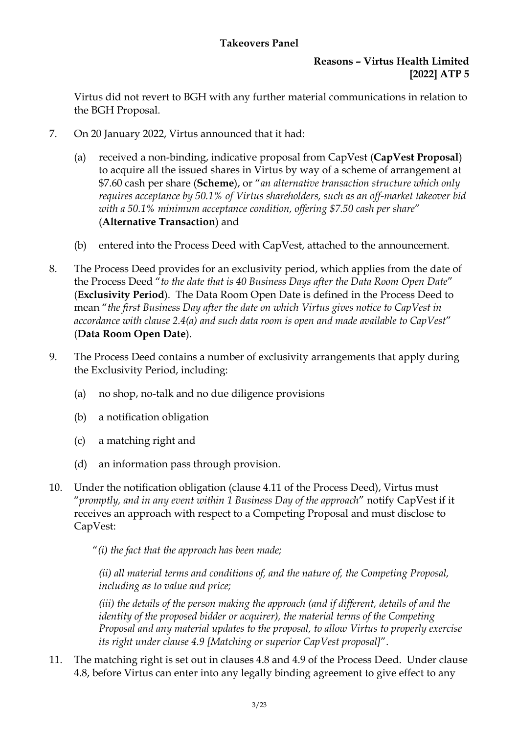# **Reasons – Virtus Health Limited [2022] ATP 5**

Virtus did not revert to BGH with any further material communications in relation to the BGH Proposal.

- 7. On 20 January 2022, Virtus announced that it had:
	- (a) received a non-binding, indicative proposal from CapVest (**CapVest Proposal**) to acquire all the issued shares in Virtus by way of a scheme of arrangement at \$7.60 cash per share (**Scheme**), or "*an alternative transaction structure which only requires acceptance by 50.1% of Virtus shareholders, such as an off-market takeover bid with a 50.1% minimum acceptance condition, offering \$7.50 cash per share*" (**Alternative Transaction**) and
	- (b) entered into the Process Deed with CapVest, attached to the announcement.
- 8. The Process Deed provides for an exclusivity period, which applies from the date of the Process Deed "*to the date that is 40 Business Days after the Data Room Open Date*" (**Exclusivity Period**). The Data Room Open Date is defined in the Process Deed to mean "*the first Business Day after the date on which Virtus gives notice to CapVest in accordance with clause 2.4(a) and such data room is open and made available to CapVest*" (**Data Room Open Date**).
- 9. The Process Deed contains a number of exclusivity arrangements that apply during the Exclusivity Period, including:
	- (a) no shop, no-talk and no due diligence provisions
	- (b) a notification obligation
	- (c) a matching right and
	- (d) an information pass through provision.
- 10. Under the notification obligation (clause 4.11 of the Process Deed), Virtus must "*promptly, and in any event within 1 Business Day of the approach*" notify CapVest if it receives an approach with respect to a Competing Proposal and must disclose to CapVest:

"*(i) the fact that the approach has been made;* 

*(ii) all material terms and conditions of, and the nature of, the Competing Proposal, including as to value and price;*

*(iii) the details of the person making the approach (and if different, details of and the identity of the proposed bidder or acquirer), the material terms of the Competing Proposal and any material updates to the proposal, to allow Virtus to properly exercise its right under clause 4.9 [Matching or superior CapVest proposal]*".

11. The matching right is set out in clauses 4.8 and 4.9 of the Process Deed. Under clause 4.8, before Virtus can enter into any legally binding agreement to give effect to any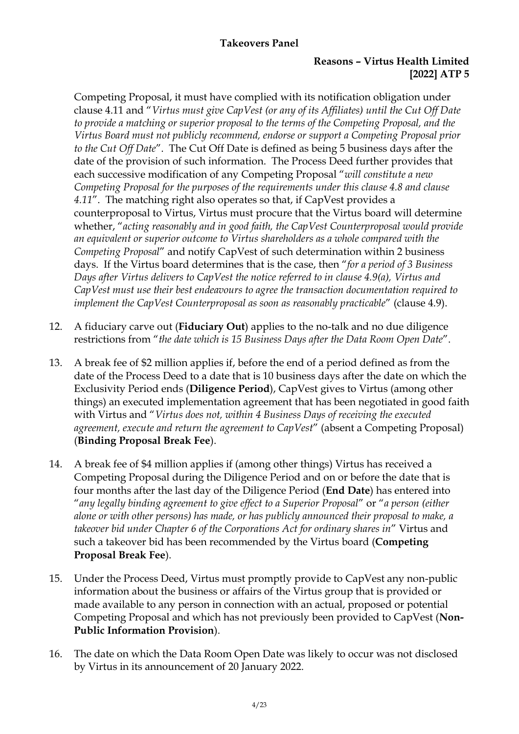#### **Reasons – Virtus Health Limited [2022] ATP 5**

Competing Proposal, it must have complied with its notification obligation under clause 4.11 and "*Virtus must give CapVest (or any of its Affiliates) until the Cut Off Date to provide a matching or superior proposal to the terms of the Competing Proposal, and the Virtus Board must not publicly recommend, endorse or support a Competing Proposal prior to the Cut Off Date*". The Cut Off Date is defined as being 5 business days after the date of the provision of such information. The Process Deed further provides that each successive modification of any Competing Proposal "*will constitute a new Competing Proposal for the purposes of the requirements under this clause 4.8 and clause 4.11*". The matching right also operates so that, if CapVest provides a counterproposal to Virtus, Virtus must procure that the Virtus board will determine whether, "*acting reasonably and in good faith, the CapVest Counterproposal would provide an equivalent or superior outcome to Virtus shareholders as a whole compared with the Competing Proposal*" and notify CapVest of such determination within 2 business days. If the Virtus board determines that is the case, then "*for a period of 3 Business Days after Virtus delivers to CapVest the notice referred to in clause 4.9(a), Virtus and CapVest must use their best endeavours to agree the transaction documentation required to implement the CapVest Counterproposal as soon as reasonably practicable*" (clause 4.9).

- 12. A fiduciary carve out (**Fiduciary Out**) applies to the no-talk and no due diligence restrictions from "*the date which is 15 Business Days after the Data Room Open Date*".
- <span id="page-3-0"></span>13. A break fee of \$2 million applies if, before the end of a period defined as from the date of the Process Deed to a date that is 10 business days after the date on which the Exclusivity Period ends (**Diligence Period**), CapVest gives to Virtus (among other things) an executed implementation agreement that has been negotiated in good faith with Virtus and "*Virtus does not, within 4 Business Days of receiving the executed agreement, execute and return the agreement to CapVest*" (absent a Competing Proposal) (**Binding Proposal Break Fee**).
- <span id="page-3-1"></span>14. A break fee of \$4 million applies if (among other things) Virtus has received a Competing Proposal during the Diligence Period and on or before the date that is four months after the last day of the Diligence Period (**End Date**) has entered into "*any legally binding agreement to give effect to a Superior Proposal*" or "*a person (either alone or with other persons) has made, or has publicly announced their proposal to make, a takeover bid under Chapter 6 of the Corporations Act for ordinary shares in*" Virtus and such a takeover bid has been recommended by the Virtus board (**Competing Proposal Break Fee**).
- 15. Under the Process Deed, Virtus must promptly provide to CapVest any non-public information about the business or affairs of the Virtus group that is provided or made available to any person in connection with an actual, proposed or potential Competing Proposal and which has not previously been provided to CapVest (**Non-Public Information Provision**).
- 16. The date on which the Data Room Open Date was likely to occur was not disclosed by Virtus in its announcement of 20 January 2022.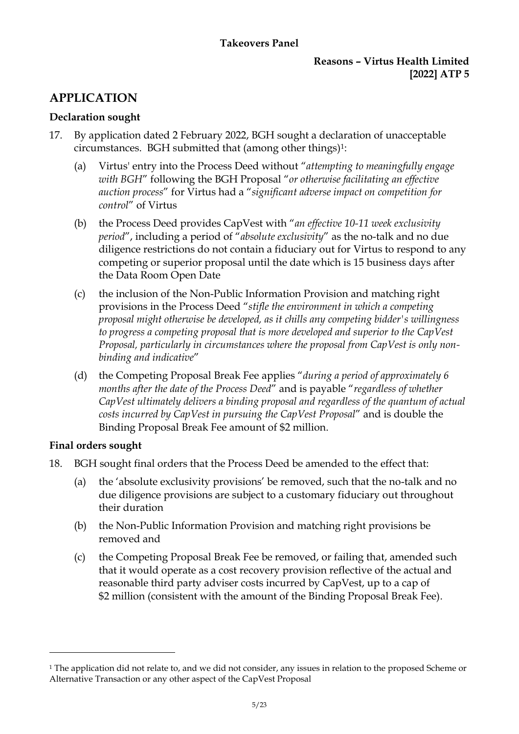#### **Reasons – Virtus Health Limited [2022] ATP 5**

# **APPLICATION**

# **Declaration sought**

- 17. By application dated 2 February 2022, BGH sought a declaration of unacceptable circumstances. BGH submitted that (among other things)1:
	- (a) Virtus' entry into the Process Deed without "*attempting to meaningfully engage with BGH*" following the BGH Proposal "*or otherwise facilitating an effective auction process*" for Virtus had a "*significant adverse impact on competition for control*" of Virtus
	- (b) the Process Deed provides CapVest with "*an effective 10-11 week exclusivity period*", including a period of "*absolute exclusivity*" as the no-talk and no due diligence restrictions do not contain a fiduciary out for Virtus to respond to any competing or superior proposal until the date which is 15 business days after the Data Room Open Date
	- (c) the inclusion of the Non-Public Information Provision and matching right provisions in the Process Deed "*stifle the environment in which a competing proposal might otherwise be developed, as it chills any competing bidder's willingness to progress a competing proposal that is more developed and superior to the CapVest Proposal, particularly in circumstances where the proposal from CapVest is only nonbinding and indicative*"
	- (d) the Competing Proposal Break Fee applies "*during a period of approximately 6 months after the date of the Process Deed*" and is payable "*regardless of whether CapVest ultimately delivers a binding proposal and regardless of the quantum of actual costs incurred by CapVest in pursuing the CapVest Proposal*" and is double the Binding Proposal Break Fee amount of \$2 million.

# **Final orders sought**

- 18. BGH sought final orders that the Process Deed be amended to the effect that:
	- (a) the 'absolute exclusivity provisions' be removed, such that the no-talk and no due diligence provisions are subject to a customary fiduciary out throughout their duration
	- (b) the Non-Public Information Provision and matching right provisions be removed and
	- (c) the Competing Proposal Break Fee be removed, or failing that, amended such that it would operate as a cost recovery provision reflective of the actual and reasonable third party adviser costs incurred by CapVest, up to a cap of \$2 million (consistent with the amount of the Binding Proposal Break Fee).

<sup>&</sup>lt;sup>1</sup> The application did not relate to, and we did not consider, any issues in relation to the proposed Scheme or Alternative Transaction or any other aspect of the CapVest Proposal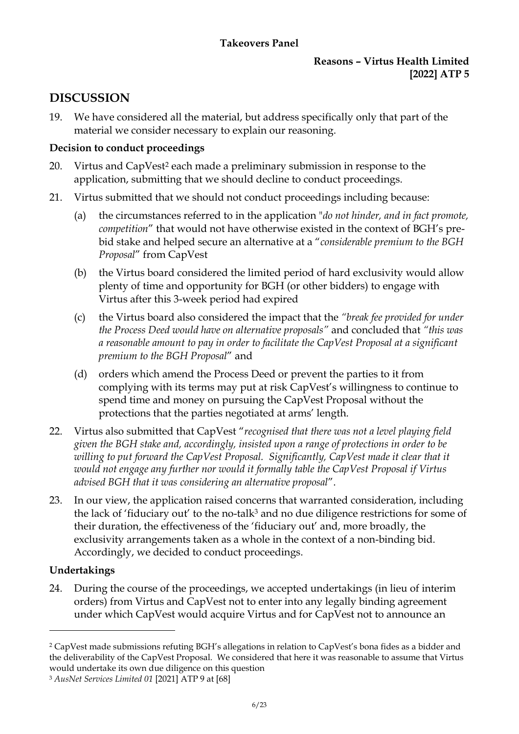### **Reasons – Virtus Health Limited [2022] ATP 5**

# **DISCUSSION**

19. We have considered all the material, but address specifically only that part of the material we consider necessary to explain our reasoning.

# **Decision to conduct proceedings**

- 20. Virtus and CapVest<sup>2</sup> each made a preliminary submission in response to the application, submitting that we should decline to conduct proceedings.
- 21. Virtus submitted that we should not conduct proceedings including because:
	- (a) the circumstances referred to in the application "*do not hinder, and in fact promote, competition*" that would not have otherwise existed in the context of BGH's prebid stake and helped secure an alternative at a "*considerable premium to the BGH Proposal*" from CapVest
	- (b) the Virtus board considered the limited period of hard exclusivity would allow plenty of time and opportunity for BGH (or other bidders) to engage with Virtus after this 3-week period had expired
	- (c) the Virtus board also considered the impact that the *"break fee provided for under the Process Deed would have on alternative proposals"* and concluded that *"this was a reasonable amount to pay in order to facilitate the CapVest Proposal at a significant premium to the BGH Proposal*" and
	- (d) orders which amend the Process Deed or prevent the parties to it from complying with its terms may put at risk CapVest's willingness to continue to spend time and money on pursuing the CapVest Proposal without the protections that the parties negotiated at arms' length.
- 22. Virtus also submitted that CapVest "*recognised that there was not a level playing field given the BGH stake and, accordingly, insisted upon a range of protections in order to be willing to put forward the CapVest Proposal. Significantly, CapVest made it clear that it would not engage any further nor would it formally table the CapVest Proposal if Virtus advised BGH that it was considering an alternative proposal*".
- 23. In our view, the application raised concerns that warranted consideration, including the lack of 'fiduciary out' to the no-talk<sup>3</sup> and no due diligence restrictions for some of their duration, the effectiveness of the 'fiduciary out' and, more broadly, the exclusivity arrangements taken as a whole in the context of a non-binding bid. Accordingly, we decided to conduct proceedings.

# **Undertakings**

24. During the course of the proceedings, we accepted undertakings (in lieu of interim orders) from Virtus and CapVest not to enter into any legally binding agreement under which CapVest would acquire Virtus and for CapVest not to announce an

<sup>2</sup> CapVest made submissions refuting BGH's allegations in relation to CapVest's bona fides as a bidder and the deliverability of the CapVest Proposal. We considered that here it was reasonable to assume that Virtus would undertake its own due diligence on this question

<sup>3</sup> *AusNet Services Limited 01* [2021] ATP 9 at [68]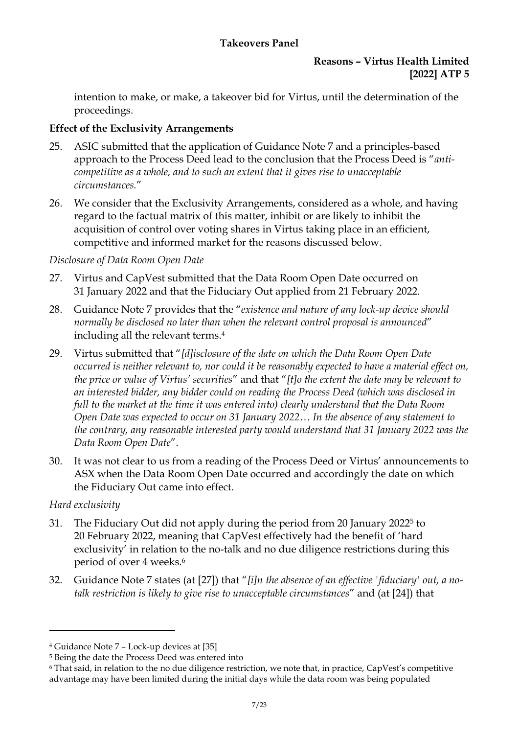# **Reasons – Virtus Health Limited [2022] ATP 5**

intention to make, or make, a takeover bid for Virtus, until the determination of the proceedings.

# **Effect of the Exclusivity Arrangements**

- 25. ASIC submitted that the application of Guidance Note 7 and a principles-based approach to the Process Deed lead to the conclusion that the Process Deed is "*anticompetitive as a whole, and to such an extent that it gives rise to unacceptable circumstances.*"
- 26. We consider that the Exclusivity Arrangements, considered as a whole, and having regard to the factual matrix of this matter, inhibit or are likely to inhibit the acquisition of control over voting shares in Virtus taking place in an efficient, competitive and informed market for the reasons discussed below.

# *Disclosure of Data Room Open Date*

- 27. Virtus and CapVest submitted that the Data Room Open Date occurred on 31 January 2022 and that the Fiduciary Out applied from 21 February 2022.
- 28. Guidance Note 7 provides that the "*existence and nature of any lock-up device should normally be disclosed no later than when the relevant control proposal is announced*" including all the relevant terms. 4
- 29. Virtus submitted that "*[d]isclosure of the date on which the Data Room Open Date occurred is neither relevant to, nor could it be reasonably expected to have a material effect on, the price or value of Virtus' securities*" and that "*[t]o the extent the date may be relevant to an interested bidder, any bidder could on reading the Process Deed (which was disclosed in full to the market at the time it was entered into) clearly understand that the Data Room Open Date was expected to occur on 31 January 2022… In the absence of any statement to the contrary, any reasonable interested party would understand that 31 January 2022 was the Data Room Open Date*".
- 30. It was not clear to us from a reading of the Process Deed or Virtus' announcements to ASX when the Data Room Open Date occurred and accordingly the date on which the Fiduciary Out came into effect.

# *Hard exclusivity*

- 31. The Fiduciary Out did not apply during the period from 20 January 2022<sup>5</sup> to 20 February 2022, meaning that CapVest effectively had the benefit of 'hard exclusivity' in relation to the no-talk and no due diligence restrictions during this period of over 4 weeks. 6
- 32. Guidance Note 7 states (at [27]) that "*[i]n the absence of an effective 'fiduciary' out, a notalk restriction is likely to give rise to unacceptable circumstances*" and (at [24]) that

<sup>4</sup> Guidance Note 7 – Lock-up devices at [35]

<sup>5</sup> Being the date the Process Deed was entered into

<sup>6</sup> That said, in relation to the no due diligence restriction, we note that, in practice, CapVest's competitive advantage may have been limited during the initial days while the data room was being populated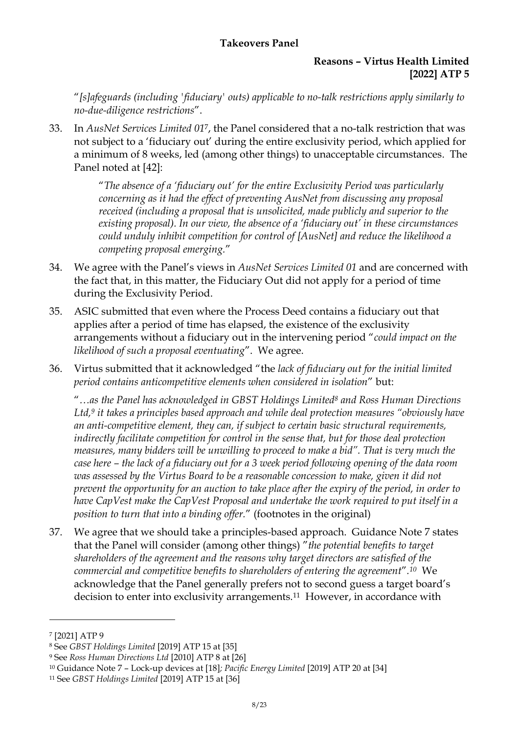#### **Reasons – Virtus Health Limited [2022] ATP 5**

"*[s]afeguards (including 'fiduciary' outs) applicable to no-talk restrictions apply similarly to no-due-diligence restrictions*".

33. In *AusNet Services Limited 01*7, the Panel considered that a no-talk restriction that was not subject to a 'fiduciary out' during the entire exclusivity period, which applied for a minimum of 8 weeks, led (among other things) to unacceptable circumstances. The Panel noted at [42]:

> "*The absence of a 'fiduciary out' for the entire Exclusivity Period was particularly concerning as it had the effect of preventing AusNet from discussing any proposal received (including a proposal that is unsolicited, made publicly and superior to the existing proposal). In our view, the absence of a 'fiduciary out' in these circumstances could unduly inhibit competition for control of [AusNet] and reduce the likelihood a competing proposal emerging.*"

- 34. We agree with the Panel's views in *AusNet Services Limited 01* and are concerned with the fact that, in this matter, the Fiduciary Out did not apply for a period of time during the Exclusivity Period.
- 35. ASIC submitted that even where the Process Deed contains a fiduciary out that applies after a period of time has elapsed, the existence of the exclusivity arrangements without a fiduciary out in the intervening period "*could impact on the likelihood of such a proposal eventuating*". We agree.
- 36. Virtus submitted that it acknowledged "the *lack of fiduciary out for the initial limited period contains anticompetitive elements when considered in isolation*" but:

"*…as the Panel has acknowledged in GBST Holdings Limited<sup>8</sup> and Ross Human Directions Ltd,<sup>9</sup> it takes a principles based approach and while deal protection measures "obviously have an anti-competitive element, they can, if subject to certain basic structural requirements, indirectly facilitate competition for control in the sense that, but for those deal protection measures, many bidders will be unwilling to proceed to make a bid". That is very much the case here – the lack of a fiduciary out for a 3 week period following opening of the data room*  was assessed by the Virtus Board to be a reasonable concession to make, given it did not *prevent the opportunity for an auction to take place after the expiry of the period, in order to have CapVest make the CapVest Proposal and undertake the work required to put itself in a position to turn that into a binding offer.*" (footnotes in the original)

37. We agree that we should take a principles-based approach. Guidance Note 7 states that the Panel will consider (among other things) "*the potential benefits to target shareholders of the agreement and the reasons why target directors are satisfied of the commercial and competitive benefits to shareholders of entering the agreement*"*. <sup>10</sup>* We acknowledge that the Panel generally prefers not to second guess a target board's decision to enter into exclusivity arrangements.<sup>11</sup> However, in accordance with

<sup>7</sup> [2021] ATP 9

<sup>8</sup> See *GBST Holdings Limited* [2019] ATP 15 at [35]

<sup>9</sup> See *Ross Human Directions Ltd* [2010] ATP 8 at [26]

<sup>10</sup> Guidance Note 7 – Lock-up devices at [18]*[; Pacific Energy Limited](https://www.takeovers.gov.au/content/DisplayDoc.aspx?doc=reasons_for_decisions/2019/020.htm&pageID=&Year=https://www.takeovers.gov.au/content/DisplayDoc.aspx?doc=reasons_for_decisions/2019/020.htm&pageID=&Year=)* [\[2019\] ATP 20](https://www.takeovers.gov.au/content/DisplayDoc.aspx?doc=reasons_for_decisions/2019/020.htm&pageID=&Year=https://www.takeovers.gov.au/content/DisplayDoc.aspx?doc=reasons_for_decisions/2019/020.htm&pageID=&Year=) at [34]

<sup>11</sup> See *[GBST Holdings Limited](https://www.takeovers.gov.au/content/DisplayDoc.aspx?doc=reasons_for_decisions/2019/015.htm)* [\[2019\] ATP 15](https://www.takeovers.gov.au/content/DisplayDoc.aspx?doc=reasons_for_decisions/2019/015.htm) at [36]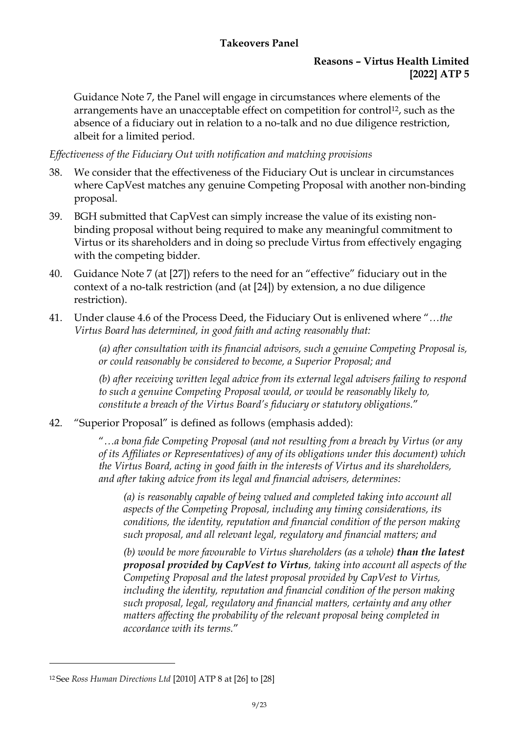### **Reasons – Virtus Health Limited [2022] ATP 5**

Guidance Note 7, the Panel will engage in circumstances where elements of the arrangements have an unacceptable effect on competition for control<sup>12</sup>, such as the absence of a fiduciary out in relation to a no-talk and no due diligence restriction, albeit for a limited period.

# *Effectiveness of the Fiduciary Out with notification and matching provisions*

- 38. We consider that the effectiveness of the Fiduciary Out is unclear in circumstances where CapVest matches any genuine Competing Proposal with another non-binding proposal.
- 39. BGH submitted that CapVest can simply increase the value of its existing nonbinding proposal without being required to make any meaningful commitment to Virtus or its shareholders and in doing so preclude Virtus from effectively engaging with the competing bidder.
- 40. Guidance Note 7 (at [27]) refers to the need for an "effective" fiduciary out in the context of a no-talk restriction (and (at [24]) by extension, a no due diligence restriction).
- 41. Under clause 4.6 of the Process Deed, the Fiduciary Out is enlivened where "*…the Virtus Board has determined, in good faith and acting reasonably that:*

*(a) after consultation with its financial advisors, such a genuine Competing Proposal is, or could reasonably be considered to become, a Superior Proposal; and*

*(b) after receiving written legal advice from its external legal advisers failing to respond to such a genuine Competing Proposal would, or would be reasonably likely to, constitute a breach of the Virtus Board's fiduciary or statutory obligations.*"

42. "Superior Proposal" is defined as follows (emphasis added):

"*…a bona fide Competing Proposal (and not resulting from a breach by Virtus (or any of its Affiliates or Representatives) of any of its obligations under this document) which the Virtus Board, acting in good faith in the interests of Virtus and its shareholders, and after taking advice from its legal and financial advisers, determines:* 

*(a) is reasonably capable of being valued and completed taking into account all aspects of the Competing Proposal, including any timing considerations, its conditions, the identity, reputation and financial condition of the person making such proposal, and all relevant legal, regulatory and financial matters; and* 

*(b) would be more favourable to Virtus shareholders (as a whole) than the latest proposal provided by CapVest to Virtus, taking into account all aspects of the Competing Proposal and the latest proposal provided by CapVest to Virtus, including the identity, reputation and financial condition of the person making such proposal, legal, regulatory and financial matters, certainty and any other matters affecting the probability of the relevant proposal being completed in accordance with its terms.*"

<sup>12</sup> See *[Ross Human Directions Ltd](http://www.takeovers.gov.au/content/DisplayDoc.aspx?doc=reasons_for_decisions/2010/008.htm&pageID=&Year=2010)* [\[2010\] ATP 8](http://www.takeovers.gov.au/content/DisplayDoc.aspx?doc=reasons_for_decisions/2010/008.htm&pageID=&Year=2010) at [26] to [28]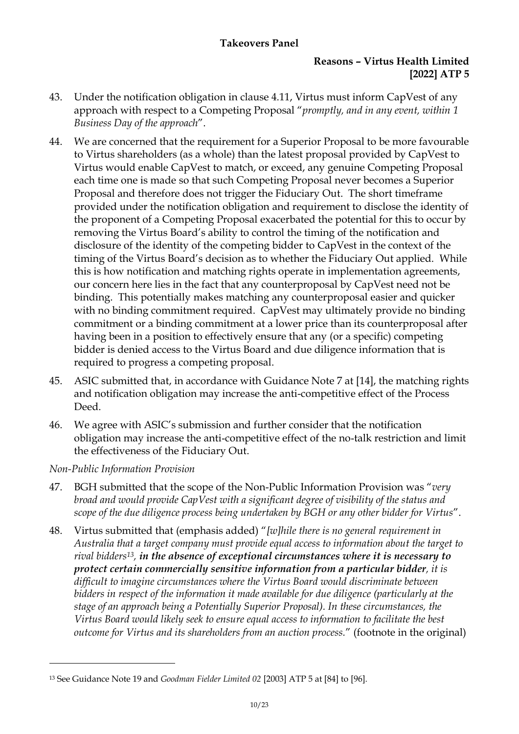#### **Reasons – Virtus Health Limited [2022] ATP 5**

- 43. Under the notification obligation in clause 4.11, Virtus must inform CapVest of any approach with respect to a Competing Proposal "*promptly, and in any event, within 1 Business Day of the approach*".
- 44. We are concerned that the requirement for a Superior Proposal to be more favourable to Virtus shareholders (as a whole) than the latest proposal provided by CapVest to Virtus would enable CapVest to match, or exceed, any genuine Competing Proposal each time one is made so that such Competing Proposal never becomes a Superior Proposal and therefore does not trigger the Fiduciary Out. The short timeframe provided under the notification obligation and requirement to disclose the identity of the proponent of a Competing Proposal exacerbated the potential for this to occur by removing the Virtus Board's ability to control the timing of the notification and disclosure of the identity of the competing bidder to CapVest in the context of the timing of the Virtus Board's decision as to whether the Fiduciary Out applied. While this is how notification and matching rights operate in implementation agreements, our concern here lies in the fact that any counterproposal by CapVest need not be binding. This potentially makes matching any counterproposal easier and quicker with no binding commitment required. CapVest may ultimately provide no binding commitment or a binding commitment at a lower price than its counterproposal after having been in a position to effectively ensure that any (or a specific) competing bidder is denied access to the Virtus Board and due diligence information that is required to progress a competing proposal.
- 45. ASIC submitted that, in accordance with Guidance Note 7 at [14], the matching rights and notification obligation may increase the anti-competitive effect of the Process Deed.
- 46. We agree with ASIC's submission and further consider that the notification obligation may increase the anti‑competitive effect of the no‑talk restriction and limit the effectiveness of the Fiduciary Out.

*Non-Public Information Provision*

- 47. BGH submitted that the scope of the Non-Public Information Provision was "*very broad and would provide CapVest with a significant degree of visibility of the status and scope of the due diligence process being undertaken by BGH or any other bidder for Virtus*".
- 48. Virtus submitted that (emphasis added) "*[w]hile there is no general requirement in Australia that a target company must provide equal access to information about the target to rival bidders13, in the absence of exceptional circumstances where it is necessary to protect certain commercially sensitive information from a particular bidder, it is difficult to imagine circumstances where the Virtus Board would discriminate between bidders in respect of the information it made available for due diligence (particularly at the stage of an approach being a Potentially Superior Proposal). In these circumstances, the Virtus Board would likely seek to ensure equal access to information to facilitate the best outcome for Virtus and its shareholders from an auction process.*" (footnote in the original)

<sup>13</sup> See Guidance Note 19 and *Goodman Fielder Limited 02* [2003] ATP 5 at [84] to [96].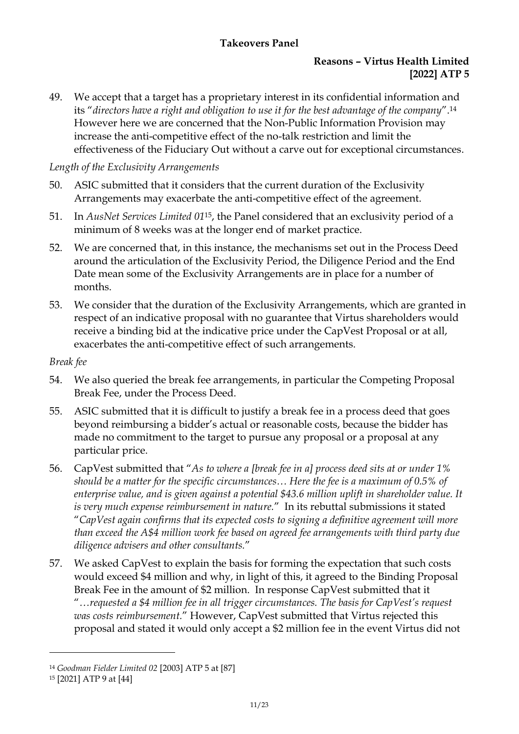# **Reasons – Virtus Health Limited [2022] ATP 5**

49. We accept that a target has a proprietary interest in its confidential information and its "*directors have a right and obligation to use it for the best advantage of the company*". 14 However here we are concerned that the Non-Public Information Provision may increase the anti-competitive effect of the no-talk restriction and limit the effectiveness of the Fiduciary Out without a carve out for exceptional circumstances.

#### *Length of the Exclusivity Arrangements*

- 50. ASIC submitted that it considers that the current duration of the Exclusivity Arrangements may exacerbate the anti-competitive effect of the agreement.
- 51. In *AusNet Services Limited 01*15, the Panel considered that an exclusivity period of a minimum of 8 weeks was at the longer end of market practice.
- 52. We are concerned that, in this instance, the mechanisms set out in the Process Deed around the articulation of the Exclusivity Period, the Diligence Period and the End Date mean some of the Exclusivity Arrangements are in place for a number of months.
- 53. We consider that the duration of the Exclusivity Arrangements, which are granted in respect of an indicative proposal with no guarantee that Virtus shareholders would receive a binding bid at the indicative price under the CapVest Proposal or at all, exacerbates the anti-competitive effect of such arrangements.

*Break fee*

- 54. We also queried the break fee arrangements, in particular the Competing Proposal Break Fee, under the Process Deed.
- 55. ASIC submitted that it is difficult to justify a break fee in a process deed that goes beyond reimbursing a bidder's actual or reasonable costs, because the bidder has made no commitment to the target to pursue any proposal or a proposal at any particular price.
- 56. CapVest submitted that "*As to where a [break fee in a] process deed sits at or under 1% should be a matter for the specific circumstances… Here the fee is a maximum of 0.5% of enterprise value, and is given against a potential \$43.6 million uplift in shareholder value. It is very much expense reimbursement in nature.*" In its rebuttal submissions it stated "*CapVest again confirms that its expected costs to signing a definitive agreement will more than exceed the A\$4 million work fee based on agreed fee arrangements with third party due diligence advisers and other consultants.*"
- 57. We asked CapVest to explain the basis for forming the expectation that such costs would exceed \$4 million and why, in light of this, it agreed to the Binding Proposal Break Fee in the amount of \$2 million. In response CapVest submitted that it "*…requested a \$4 million fee in all trigger circumstances. The basis for CapVest's request was costs reimbursement.*" However, CapVest submitted that Virtus rejected this proposal and stated it would only accept a \$2 million fee in the event Virtus did not

<sup>14</sup> *Goodman Fielder Limited 02* [2003] ATP 5 at [87]

<sup>15</sup> [2021] ATP 9 at [44]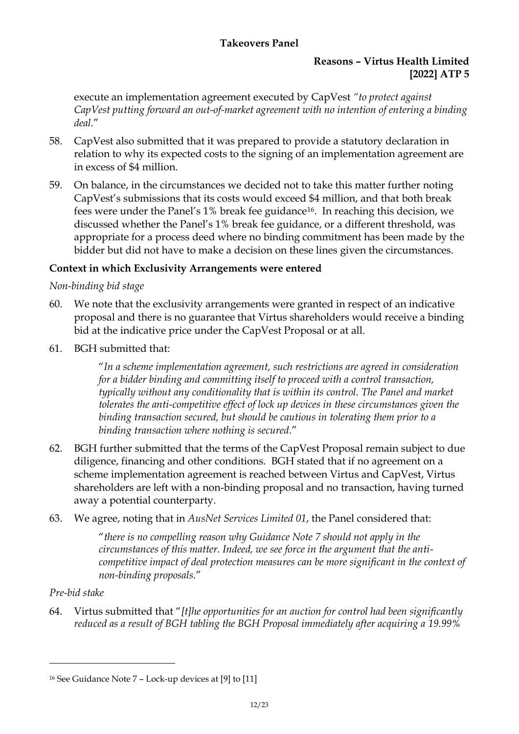### **Reasons – Virtus Health Limited [2022] ATP 5**

execute an implementation agreement executed by CapVest *"to protect against CapVest putting forward an out-of-market agreement with no intention of entering a binding deal.*"

- 58. CapVest also submitted that it was prepared to provide a statutory declaration in relation to why its expected costs to the signing of an implementation agreement are in excess of \$4 million.
- 59. On balance, in the circumstances we decided not to take this matter further noting CapVest's submissions that its costs would exceed \$4 million, and that both break fees were under the Panel's 1% break fee guidance16. In reaching this decision, we discussed whether the Panel's 1% break fee guidance, or a different threshold, was appropriate for a process deed where no binding commitment has been made by the bidder but did not have to make a decision on these lines given the circumstances.

# **Context in which Exclusivity Arrangements were entered**

# *Non-binding bid stage*

- 60. We note that the exclusivity arrangements were granted in respect of an indicative proposal and there is no guarantee that Virtus shareholders would receive a binding bid at the indicative price under the CapVest Proposal or at all.
- 61. BGH submitted that:

"*In a scheme implementation agreement, such restrictions are agreed in consideration for a bidder binding and committing itself to proceed with a control transaction, typically without any conditionality that is within its control. The Panel and market tolerates the anti-competitive effect of lock up devices in these circumstances given the binding transaction secured, but should be cautious in tolerating them prior to a binding transaction where nothing is secured*."

- 62. BGH further submitted that the terms of the CapVest Proposal remain subject to due diligence, financing and other conditions. BGH stated that if no agreement on a scheme implementation agreement is reached between Virtus and CapVest, Virtus shareholders are left with a non-binding proposal and no transaction, having turned away a potential counterparty.
- 63. We agree, noting that in *AusNet Services Limited 01*, the Panel considered that:

"*there is no compelling reason why Guidance Note 7 should not apply in the circumstances of this matter. Indeed, we see force in the argument that the anticompetitive impact of deal protection measures can be more significant in the context of non-binding proposals.*"

# *Pre-bid stake*

64. Virtus submitted that "*[t]he opportunities for an auction for control had been significantly reduced as a result of BGH tabling the BGH Proposal immediately after acquiring a 19.99%* 

<sup>&</sup>lt;sup>16</sup> See Guidance Note  $7$  – Lock-up devices at  $[9]$  to  $[11]$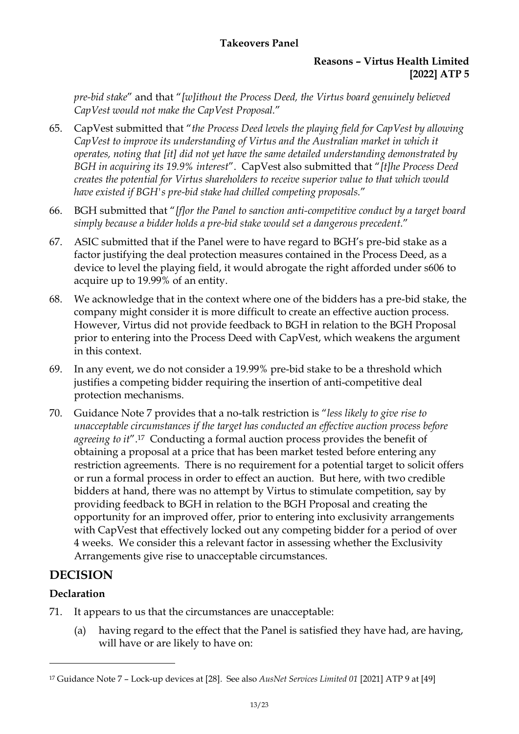### **Reasons – Virtus Health Limited [2022] ATP 5**

*pre-bid stake*" and that "*[w]ithout the Process Deed, the Virtus board genuinely believed CapVest would not make the CapVest Proposal.*"

- 65. CapVest submitted that "*the Process Deed levels the playing field for CapVest by allowing CapVest to improve its understanding of Virtus and the Australian market in which it operates, noting that [it] did not yet have the same detailed understanding demonstrated by BGH in acquiring its 19.9% interest*". CapVest also submitted that "*[t]he Process Deed creates the potential for Virtus shareholders to receive superior value to that which would have existed if BGH's pre-bid stake had chilled competing proposals.*"
- 66. BGH submitted that "*[f]or the Panel to sanction anti-competitive conduct by a target board simply because a bidder holds a pre-bid stake would set a dangerous precedent.*"
- 67. ASIC submitted that if the Panel were to have regard to BGH's pre-bid stake as a factor justifying the deal protection measures contained in the Process Deed, as a device to level the playing field, it would abrogate the right afforded under s606 to acquire up to 19.99% of an entity.
- 68. We acknowledge that in the context where one of the bidders has a pre-bid stake, the company might consider it is more difficult to create an effective auction process. However, Virtus did not provide feedback to BGH in relation to the BGH Proposal prior to entering into the Process Deed with CapVest, which weakens the argument in this context.
- 69. In any event, we do not consider a 19.99% pre-bid stake to be a threshold which justifies a competing bidder requiring the insertion of anti-competitive deal protection mechanisms.
- 70. Guidance Note 7 provides that a no-talk restriction is "*less likely to give rise to unacceptable circumstances if the target has conducted an effective auction process before agreeing to it*". <sup>17</sup> Conducting a formal auction process provides the benefit of obtaining a proposal at a price that has been market tested before entering any restriction agreements. There is no requirement for a potential target to solicit offers or run a formal process in order to effect an auction. But here, with two credible bidders at hand, there was no attempt by Virtus to stimulate competition, say by providing feedback to BGH in relation to the BGH Proposal and creating the opportunity for an improved offer, prior to entering into exclusivity arrangements with CapVest that effectively locked out any competing bidder for a period of over 4 weeks. We consider this a relevant factor in assessing whether the Exclusivity Arrangements give rise to unacceptable circumstances.

# **DECISION**

# **Declaration**

- 71. It appears to us that the circumstances are unacceptable:
	- (a) having regard to the effect that the Panel is satisfied they have had, are having, will have or are likely to have on:

<sup>17</sup> Guidance Note 7 – Lock-up devices at [28]. See also *AusNet Services Limited 01* [2021] ATP 9 at [49]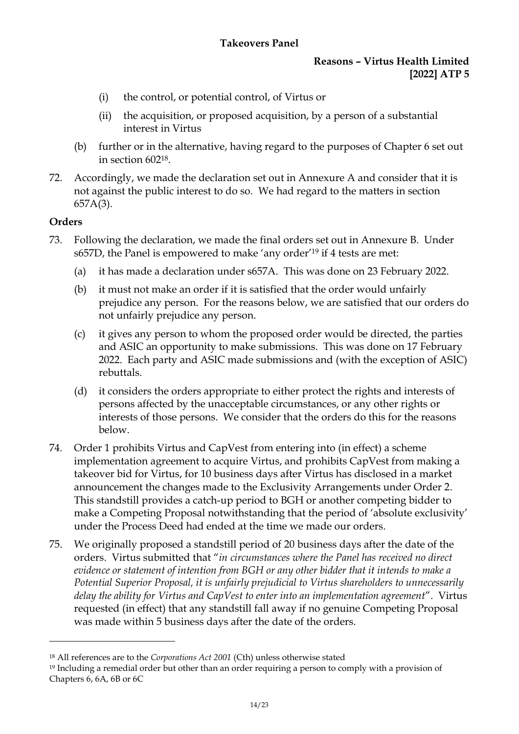# **Reasons – Virtus Health Limited [2022] ATP 5**

- (i) the control, or potential control, of Virtus or
- (ii) the acquisition, or proposed acquisition, by a person of a substantial interest in Virtus
- (b) further or in the alternative, having regard to the purposes of Chapter 6 set out in section 60218.
- 72. Accordingly, we made the declaration set out in Annexure A and consider that it is not against the public interest to do so. We had regard to the matters in section 657A(3).

# **Orders**

- 73. Following the declaration, we made the final orders set out in Annexure B. Under s657D, the Panel is empowered to make 'any order' <sup>19</sup> if 4 tests are met:
	- (a) it has made a declaration under s657A. This was done on 23 February 2022.
	- (b) it must not make an order if it is satisfied that the order would unfairly prejudice any person. For the reasons below, we are satisfied that our orders do not unfairly prejudice any person.
	- (c) it gives any person to whom the proposed order would be directed, the parties and ASIC an opportunity to make submissions. This was done on 17 February 2022. Each party and ASIC made submissions and (with the exception of ASIC) rebuttals.
	- (d) it considers the orders appropriate to either protect the rights and interests of persons affected by the unacceptable circumstances, or any other rights or interests of those persons. We consider that the orders do this for the reasons below.
- 74. Order 1 prohibits Virtus and CapVest from entering into (in effect) a scheme implementation agreement to acquire Virtus, and prohibits CapVest from making a takeover bid for Virtus, for 10 business days after Virtus has disclosed in a market announcement the changes made to the Exclusivity Arrangements under Order 2. This standstill provides a catch-up period to BGH or another competing bidder to make a Competing Proposal notwithstanding that the period of 'absolute exclusivity' under the Process Deed had ended at the time we made our orders.
- 75. We originally proposed a standstill period of 20 business days after the date of the orders. Virtus submitted that "*in circumstances where the Panel has received no direct evidence or statement of intention from BGH or any other bidder that it intends to make a Potential Superior Proposal, it is unfairly prejudicial to Virtus shareholders to unnecessarily delay the ability for Virtus and CapVest to enter into an implementation agreement*". Virtus requested (in effect) that any standstill fall away if no genuine Competing Proposal was made within 5 business days after the date of the orders.

<sup>18</sup> All references are to the *Corporations Act 2001* (Cth) unless otherwise stated

<sup>&</sup>lt;sup>19</sup> Including a remedial order but other than an order requiring a person to comply with a provision of Chapters 6, 6A, 6B or 6C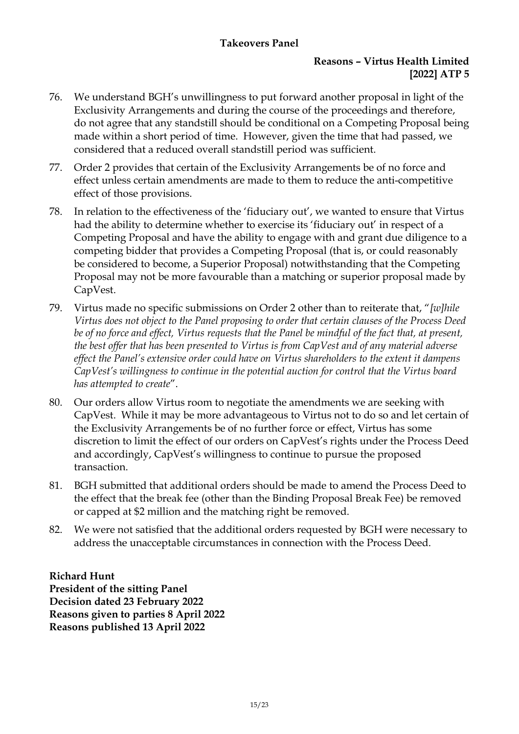### **Reasons – Virtus Health Limited [2022] ATP 5**

- 76. We understand BGH's unwillingness to put forward another proposal in light of the Exclusivity Arrangements and during the course of the proceedings and therefore, do not agree that any standstill should be conditional on a Competing Proposal being made within a short period of time. However, given the time that had passed, we considered that a reduced overall standstill period was sufficient.
- 77. Order 2 provides that certain of the Exclusivity Arrangements be of no force and effect unless certain amendments are made to them to reduce the anti-competitive effect of those provisions.
- 78. In relation to the effectiveness of the 'fiduciary out', we wanted to ensure that Virtus had the ability to determine whether to exercise its 'fiduciary out' in respect of a Competing Proposal and have the ability to engage with and grant due diligence to a competing bidder that provides a Competing Proposal (that is, or could reasonably be considered to become, a Superior Proposal) notwithstanding that the Competing Proposal may not be more favourable than a matching or superior proposal made by CapVest.
- 79. Virtus made no specific submissions on Order 2 other than to reiterate that, "*[w]hile Virtus does not object to the Panel proposing to order that certain clauses of the Process Deed be of no force and effect, Virtus requests that the Panel be mindful of the fact that, at present, the best offer that has been presented to Virtus is from CapVest and of any material adverse effect the Panel's extensive order could have on Virtus shareholders to the extent it dampens CapVest's willingness to continue in the potential auction for control that the Virtus board has attempted to create*".
- 80. Our orders allow Virtus room to negotiate the amendments we are seeking with CapVest. While it may be more advantageous to Virtus not to do so and let certain of the Exclusivity Arrangements be of no further force or effect, Virtus has some discretion to limit the effect of our orders on CapVest's rights under the Process Deed and accordingly, CapVest's willingness to continue to pursue the proposed transaction.
- 81. BGH submitted that additional orders should be made to amend the Process Deed to the effect that the break fee (other than the Binding Proposal Break Fee) be removed or capped at \$2 million and the matching right be removed.
- 82. We were not satisfied that the additional orders requested by BGH were necessary to address the unacceptable circumstances in connection with the Process Deed.

# **Richard Hunt**

**President of the sitting Panel Decision dated 23 February 2022 Reasons given to parties 8 April 2022 Reasons published 13 April 2022**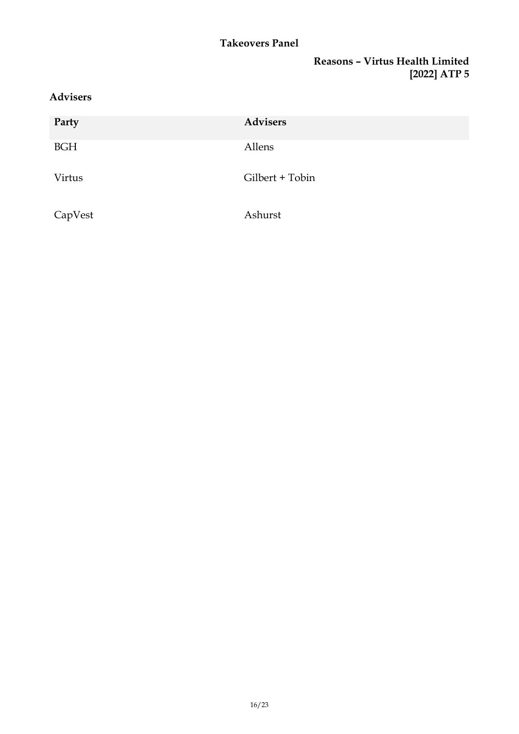### **Reasons – Virtus Health Limited [2022] ATP 5**

# **Advisers**

| Party      | <b>Advisers</b> |
|------------|-----------------|
| <b>BGH</b> | Allens          |
| Virtus     | Gilbert + Tobin |
| CapVest    | Ashurst         |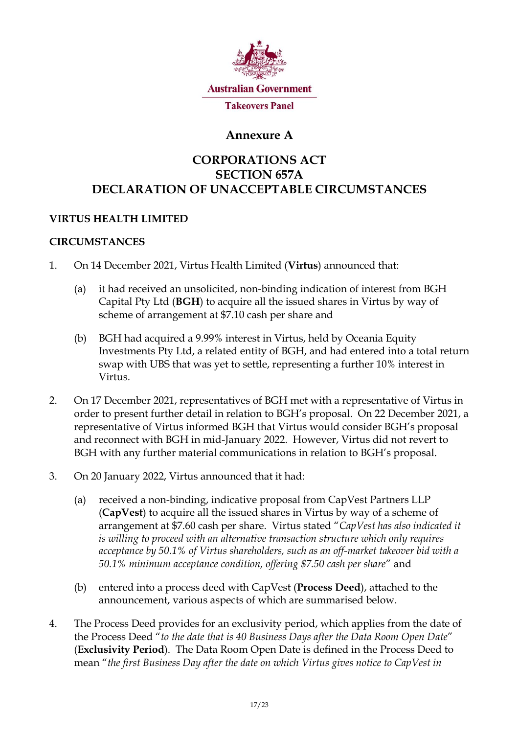

# **Annexure A**

# **CORPORATIONS ACT SECTION 657A DECLARATION OF UNACCEPTABLE CIRCUMSTANCES**

# **VIRTUS HEALTH LIMITED**

#### **CIRCUMSTANCES**

- 1. On 14 December 2021, Virtus Health Limited (**Virtus**) announced that:
	- (a) it had received an unsolicited, non-binding indication of interest from BGH Capital Pty Ltd (**BGH**) to acquire all the issued shares in Virtus by way of scheme of arrangement at \$7.10 cash per share and
	- (b) BGH had acquired a 9.99% interest in Virtus, held by Oceania Equity Investments Pty Ltd, a related entity of BGH, and had entered into a total return swap with UBS that was yet to settle, representing a further 10% interest in Virtus.
- 2. On 17 December 2021, representatives of BGH met with a representative of Virtus in order to present further detail in relation to BGH's proposal. On 22 December 2021, a representative of Virtus informed BGH that Virtus would consider BGH's proposal and reconnect with BGH in mid-January 2022. However, Virtus did not revert to BGH with any further material communications in relation to BGH's proposal.
- 3. On 20 January 2022, Virtus announced that it had:
	- (a) received a non-binding, indicative proposal from CapVest Partners LLP (**CapVest**) to acquire all the issued shares in Virtus by way of a scheme of arrangement at \$7.60 cash per share. Virtus stated "*CapVest has also indicated it is willing to proceed with an alternative transaction structure which only requires acceptance by 50.1% of Virtus shareholders, such as an off-market takeover bid with a 50.1% minimum acceptance condition, offering \$7.50 cash per share*" and
	- (b) entered into a process deed with CapVest (**Process Deed**), attached to the announcement, various aspects of which are summarised below.
- 4. The Process Deed provides for an exclusivity period, which applies from the date of the Process Deed "*to the date that is 40 Business Days after the Data Room Open Date*" (**Exclusivity Period**). The Data Room Open Date is defined in the Process Deed to mean "*the first Business Day after the date on which Virtus gives notice to CapVest in*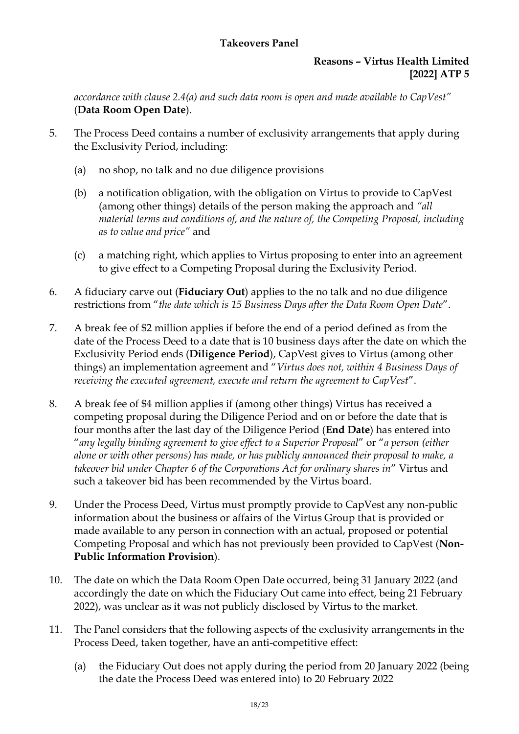#### **Reasons – Virtus Health Limited [2022] ATP 5**

*accordance with clause 2.4(a) and such data room is open and made available to CapVest"* (**Data Room Open Date**).

- 5. The Process Deed contains a number of exclusivity arrangements that apply during the Exclusivity Period, including:
	- (a) no shop, no talk and no due diligence provisions
	- (b) a notification obligation, with the obligation on Virtus to provide to CapVest (among other things) details of the person making the approach and *"all material terms and conditions of, and the nature of, the Competing Proposal, including as to value and price"* and
	- (c) a matching right, which applies to Virtus proposing to enter into an agreement to give effect to a Competing Proposal during the Exclusivity Period.
- 6. A fiduciary carve out (**Fiduciary Out**) applies to the no talk and no due diligence restrictions from "*the date which is 15 Business Days after the Data Room Open Date*".
- 7. A break fee of \$2 million applies if before the end of a period defined as from the date of the Process Deed to a date that is 10 business days after the date on which the Exclusivity Period ends (**Diligence Period**), CapVest gives to Virtus (among other things) an implementation agreement and "*Virtus does not, within 4 Business Days of receiving the executed agreement, execute and return the agreement to CapVest*".
- 8. A break fee of \$4 million applies if (among other things) Virtus has received a competing proposal during the Diligence Period and on or before the date that is four months after the last day of the Diligence Period (**End Date**) has entered into "*any legally binding agreement to give effect to a Superior Proposal*" or "*a person (either alone or with other persons) has made, or has publicly announced their proposal to make, a takeover bid under Chapter 6 of the Corporations Act for ordinary shares in*" Virtus and such a takeover bid has been recommended by the Virtus board.
- 9. Under the Process Deed, Virtus must promptly provide to CapVest any non-public information about the business or affairs of the Virtus Group that is provided or made available to any person in connection with an actual, proposed or potential Competing Proposal and which has not previously been provided to CapVest (**Non-Public Information Provision**).
- 10. The date on which the Data Room Open Date occurred, being 31 January 2022 (and accordingly the date on which the Fiduciary Out came into effect, being 21 February 2022), was unclear as it was not publicly disclosed by Virtus to the market.
- 11. The Panel considers that the following aspects of the exclusivity arrangements in the Process Deed, taken together, have an anti-competitive effect:
	- (a) the Fiduciary Out does not apply during the period from 20 January 2022 (being the date the Process Deed was entered into) to 20 February 2022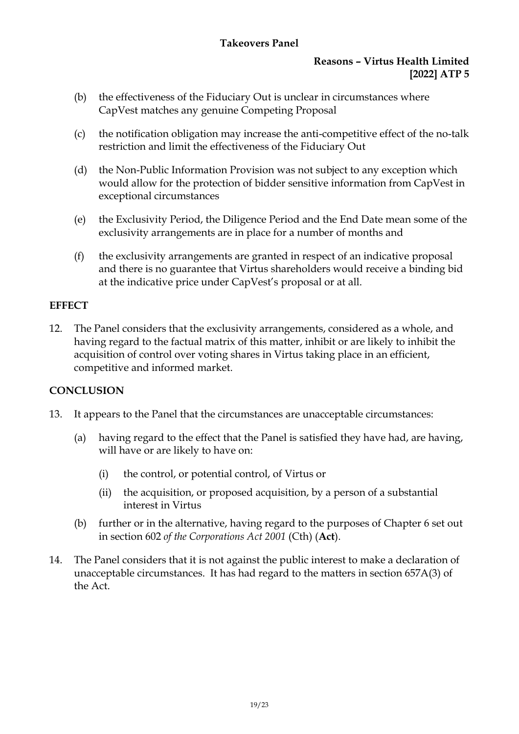### **Reasons – Virtus Health Limited [2022] ATP 5**

- (b) the effectiveness of the Fiduciary Out is unclear in circumstances where CapVest matches any genuine Competing Proposal
- (c) the notification obligation may increase the anti-competitive effect of the no-talk restriction and limit the effectiveness of the Fiduciary Out
- (d) the Non-Public Information Provision was not subject to any exception which would allow for the protection of bidder sensitive information from CapVest in exceptional circumstances
- (e) the Exclusivity Period, the Diligence Period and the End Date mean some of the exclusivity arrangements are in place for a number of months and
- (f) the exclusivity arrangements are granted in respect of an indicative proposal and there is no guarantee that Virtus shareholders would receive a binding bid at the indicative price under CapVest's proposal or at all.

#### **EFFECT**

12. The Panel considers that the exclusivity arrangements, considered as a whole, and having regard to the factual matrix of this matter, inhibit or are likely to inhibit the acquisition of control over voting shares in Virtus taking place in an efficient, competitive and informed market.

# **CONCLUSION**

- 13. It appears to the Panel that the circumstances are unacceptable circumstances:
	- (a) having regard to the effect that the Panel is satisfied they have had, are having, will have or are likely to have on:
		- (i) the control, or potential control, of Virtus or
		- (ii) the acquisition, or proposed acquisition, by a person of a substantial interest in Virtus
	- (b) further or in the alternative, having regard to the purposes of Chapter 6 set out in section 602 *of the Corporations Act 2001* (Cth) (**Act**).
- 14. The Panel considers that it is not against the public interest to make a declaration of unacceptable circumstances. It has had regard to the matters in section 657A(3) of the Act.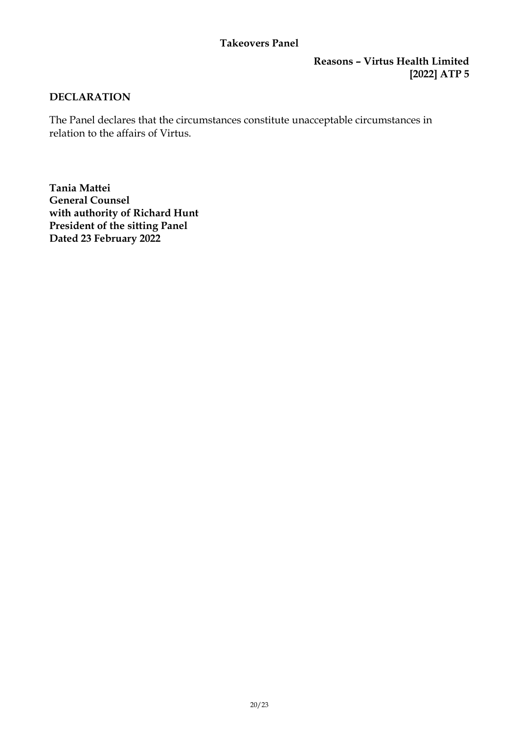#### **Reasons – Virtus Health Limited [2022] ATP 5**

#### **DECLARATION**

The Panel declares that the circumstances constitute unacceptable circumstances in relation to the affairs of Virtus.

**Tania Mattei General Counsel with authority of Richard Hunt President of the sitting Panel Dated 23 February 2022**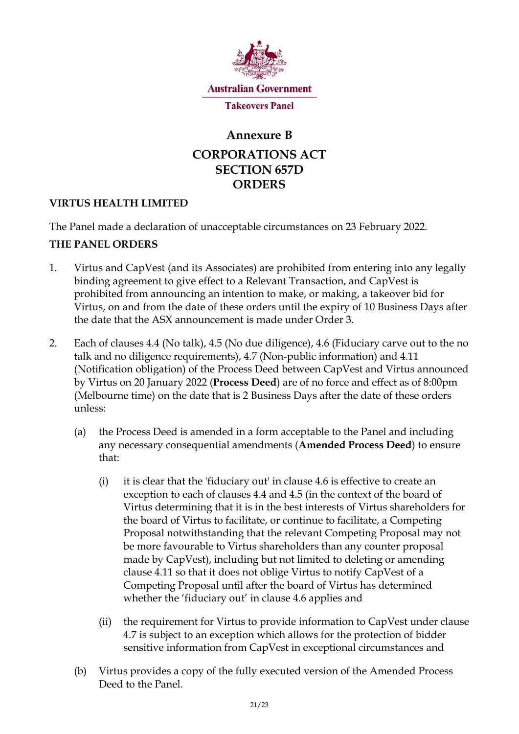

# **Annexure B CORPORATIONS ACT SECTION 657D ORDERS**

# **VIRTUS HEALTH LIMITED**

The Panel made a declaration of unacceptable circumstances on 23 February 2022.

# **THE PANEL ORDERS**

- 1. Virtus and CapVest (and its Associates) are prohibited from entering into any legally binding agreement to give effect to a Relevant Transaction, and CapVest is prohibited from announcing an intention to make, or making, a takeover bid for Virtus, on and from the date of these orders until the expiry of 10 Business Days after the date that the ASX announcement is made under Order 3.
- 2. Each of clauses 4.4 (No talk), 4.5 (No due diligence), 4.6 (Fiduciary carve out to the no talk and no diligence requirements), 4.7 (Non-public information) and 4.11 (Notification obligation) of the Process Deed between CapVest and Virtus announced by Virtus on 20 January 2022 (**Process Deed**) are of no force and effect as of 8:00pm (Melbourne time) on the date that is 2 Business Days after the date of these orders unless:
	- (a) the Process Deed is amended in a form acceptable to the Panel and including any necessary consequential amendments (**Amended Process Deed**) to ensure that:
		- (i) it is clear that the 'fiduciary out' in clause  $4.6$  is effective to create an exception to each of clauses 4.4 and 4.5 (in the context of the board of Virtus determining that it is in the best interests of Virtus shareholders for the board of Virtus to facilitate, or continue to facilitate, a Competing Proposal notwithstanding that the relevant Competing Proposal may not be more favourable to Virtus shareholders than any counter proposal made by CapVest), including but not limited to deleting or amending clause 4.11 so that it does not oblige Virtus to notify CapVest of a Competing Proposal until after the board of Virtus has determined whether the 'fiduciary out' in clause 4.6 applies and
		- (ii) the requirement for Virtus to provide information to CapVest under clause 4.7 is subject to an exception which allows for the protection of bidder sensitive information from CapVest in exceptional circumstances and
	- (b) Virtus provides a copy of the fully executed version of the Amended Process Deed to the Panel.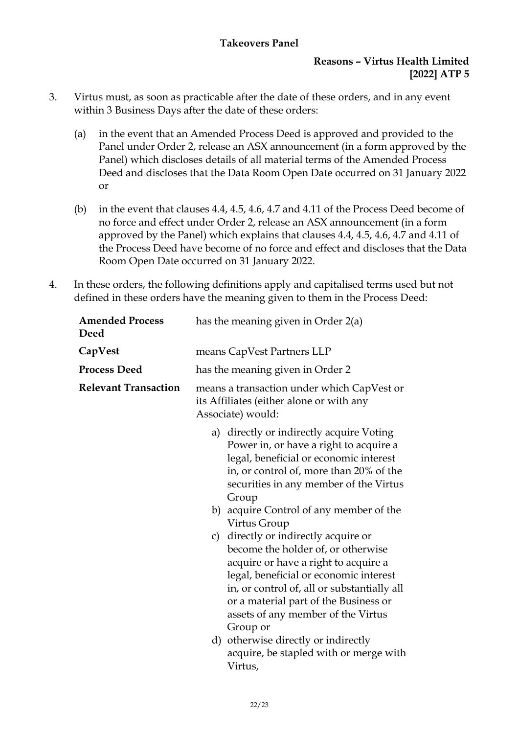### **Reasons – Virtus Health Limited [2022] ATP 5**

- 3. Virtus must, as soon as practicable after the date of these orders, and in any event within 3 Business Days after the date of these orders:
	- (a) in the event that an Amended Process Deed is approved and provided to the Panel under Order 2, release an ASX announcement (in a form approved by the Panel) which discloses details of all material terms of the Amended Process Deed and discloses that the Data Room Open Date occurred on 31 January 2022 or
	- (b) in the event that clauses 4.4, 4.5, 4.6, 4.7 and 4.11 of the Process Deed become of no force and effect under Order 2, release an ASX announcement (in a form approved by the Panel) which explains that clauses 4.4, 4.5, 4.6, 4.7 and 4.11 of the Process Deed have become of no force and effect and discloses that the Data Room Open Date occurred on 31 January 2022.
- 4. In these orders, the following definitions apply and capitalised terms used but not defined in these orders have the meaning given to them in the Process Deed:

| <b>Amended Process</b><br>Deed | has the meaning given in Order 2(a)                                                                                                                                                                                                                                                                    |  |
|--------------------------------|--------------------------------------------------------------------------------------------------------------------------------------------------------------------------------------------------------------------------------------------------------------------------------------------------------|--|
| CapVest                        | means CapVest Partners LLP                                                                                                                                                                                                                                                                             |  |
| <b>Process Deed</b>            | has the meaning given in Order 2                                                                                                                                                                                                                                                                       |  |
| <b>Relevant Transaction</b>    | means a transaction under which CapVest or<br>its Affiliates (either alone or with any<br>Associate) would:                                                                                                                                                                                            |  |
|                                | a) directly or indirectly acquire Voting<br>Power in, or have a right to acquire a<br>legal, beneficial or economic interest<br>in, or control of, more than 20% of the<br>securities in any member of the Virtus<br>Group                                                                             |  |
|                                | b) acquire Control of any member of the<br>Virtus Group                                                                                                                                                                                                                                                |  |
|                                | c) directly or indirectly acquire or<br>become the holder of, or otherwise<br>acquire or have a right to acquire a<br>legal, beneficial or economic interest<br>in, or control of, all or substantially all<br>or a material part of the Business or<br>assets of any member of the Virtus<br>Group or |  |
|                                | d) otherwise directly or indirectly<br>acquire, be stapled with or merge with<br>Virtus,                                                                                                                                                                                                               |  |